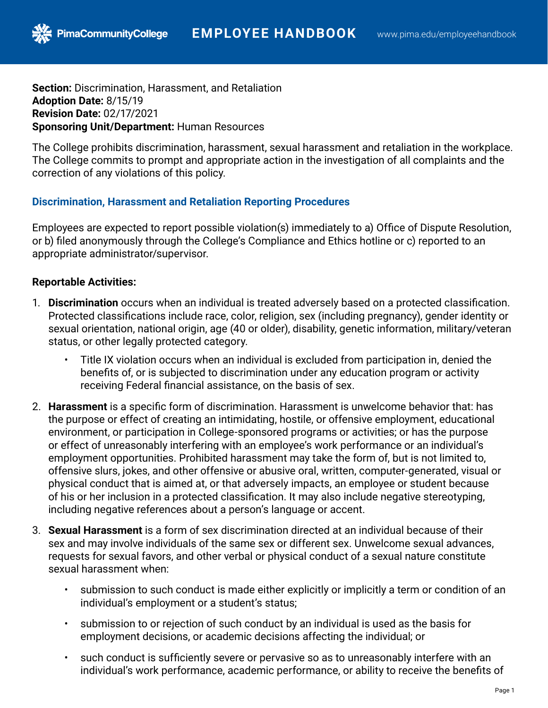**Section:** Discrimination, Harassment, and Retaliation **Adoption Date:** 8/15/19 **Revision Date:** 02/17/2021 **Sponsoring Unit/Department:** Human Resources

PimaCommunityCollege

The College prohibits discrimination, harassment, sexual harassment and retaliation in the workplace. The College commits to prompt and appropriate action in the investigation of all complaints and the correction of any violations of this policy.

## **Discrimination, Harassment and Retaliation Reporting Procedures**

Employees are expected to report possible violation(s) immediately to a) Office of Dispute Resolution, or b) filed anonymously through the College's Compliance and Ethics hotline or c) reported to an appropriate administrator/supervisor.

## **Reportable Activities:**

- 1. **Discrimination** occurs when an individual is treated adversely based on a protected classification. Protected classifications include race, color, religion, sex (including pregnancy), gender identity or sexual orientation, national origin, age (40 or older), disability, genetic information, military/veteran status, or other legally protected category.
	- Title IX violation occurs when an individual is excluded from participation in, denied the benefits of, or is subjected to discrimination under any education program or activity receiving Federal financial assistance, on the basis of sex.
- 2. **Harassment** is a specific form of discrimination. Harassment is unwelcome behavior that: has the purpose or effect of creating an intimidating, hostile, or offensive employment, educational environment, or participation in College-sponsored programs or activities; or has the purpose or effect of unreasonably interfering with an employee's work performance or an individual's employment opportunities. Prohibited harassment may take the form of, but is not limited to, offensive slurs, jokes, and other offensive or abusive oral, written, computer-generated, visual or physical conduct that is aimed at, or that adversely impacts, an employee or student because of his or her inclusion in a protected classification. It may also include negative stereotyping, including negative references about a person's language or accent.
- 3. **Sexual Harassment** is a form of sex discrimination directed at an individual because of their sex and may involve individuals of the same sex or different sex. Unwelcome sexual advances, requests for sexual favors, and other verbal or physical conduct of a sexual nature constitute sexual harassment when:
	- submission to such conduct is made either explicitly or implicitly a term or condition of an individual's employment or a student's status;
	- submission to or rejection of such conduct by an individual is used as the basis for employment decisions, or academic decisions affecting the individual; or
	- such conduct is sufficiently severe or pervasive so as to unreasonably interfere with an individual's work performance, academic performance, or ability to receive the benefits of